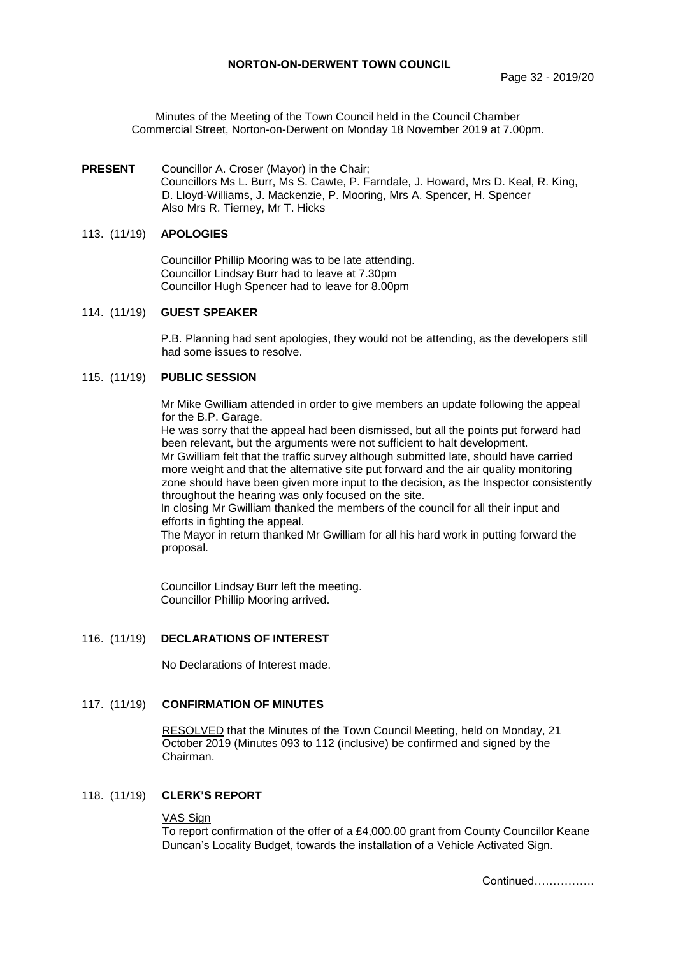Minutes of the Meeting of the Town Council held in the Council Chamber Commercial Street, Norton-on-Derwent on Monday 18 November 2019 at 7.00pm.

### **PRESENT** Councillor A. Croser (Mayor) in the Chair; Councillors Ms L. Burr, Ms S. Cawte, P. Farndale, J. Howard, Mrs D. Keal, R. King, D. Lloyd-Williams, J. Mackenzie, P. Mooring, Mrs A. Spencer, H. Spencer Also Mrs R. Tierney, Mr T. Hicks

### 113. (11/19) **APOLOGIES**

Councillor Phillip Mooring was to be late attending. Councillor Lindsay Burr had to leave at 7.30pm Councillor Hugh Spencer had to leave for 8.00pm

### 114. (11/19) **GUEST SPEAKER**

P.B. Planning had sent apologies, they would not be attending, as the developers still had some issues to resolve.

## 115. (11/19) **PUBLIC SESSION**

Mr Mike Gwilliam attended in order to give members an update following the appeal for the B.P. Garage.

He was sorry that the appeal had been dismissed, but all the points put forward had been relevant, but the arguments were not sufficient to halt development. Mr Gwilliam felt that the traffic survey although submitted late, should have carried more weight and that the alternative site put forward and the air quality monitoring zone should have been given more input to the decision, as the Inspector consistently

throughout the hearing was only focused on the site.

In closing Mr Gwilliam thanked the members of the council for all their input and efforts in fighting the appeal.

The Mayor in return thanked Mr Gwilliam for all his hard work in putting forward the proposal.

Councillor Lindsay Burr left the meeting. Councillor Phillip Mooring arrived.

## 116. (11/19) **DECLARATIONS OF INTEREST**

No Declarations of Interest made.

### 117. (11/19) **CONFIRMATION OF MINUTES**

 RESOLVED that the Minutes of the Town Council Meeting, held on Monday, 21 October 2019 (Minutes 093 to 112 (inclusive) be confirmed and signed by the Chairman.

## 118. (11/19) **CLERK'S REPORT**

#### VAS Sign

To report confirmation of the offer of a £4,000.00 grant from County Councillor Keane Duncan's Locality Budget, towards the installation of a Vehicle Activated Sign.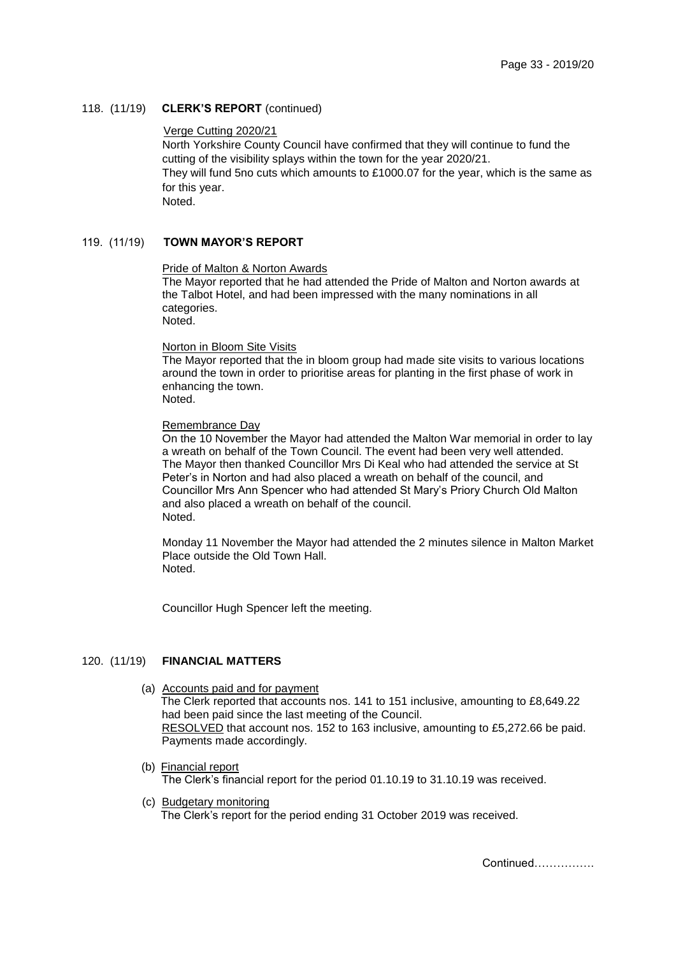# 118. (11/19) **CLERK'S REPORT** (continued)

### Verge Cutting 2020/21

North Yorkshire County Council have confirmed that they will continue to fund the cutting of the visibility splays within the town for the year 2020/21. They will fund 5no cuts which amounts to £1000.07 for the year, which is the same as for this year. Noted.

# 119. (11/19) **TOWN MAYOR'S REPORT**

## Pride of Malton & Norton Awards

The Mayor reported that he had attended the Pride of Malton and Norton awards at the Talbot Hotel, and had been impressed with the many nominations in all categories.

Noted.

#### Norton in Bloom Site Visits

The Mayor reported that the in bloom group had made site visits to various locations around the town in order to prioritise areas for planting in the first phase of work in enhancing the town. Noted.

### Remembrance Day

On the 10 November the Mayor had attended the Malton War memorial in order to lay a wreath on behalf of the Town Council. The event had been very well attended. The Mayor then thanked Councillor Mrs Di Keal who had attended the service at St Peter's in Norton and had also placed a wreath on behalf of the council, and Councillor Mrs Ann Spencer who had attended St Mary's Priory Church Old Malton and also placed a wreath on behalf of the council. Noted.

Monday 11 November the Mayor had attended the 2 minutes silence in Malton Market Place outside the Old Town Hall. Noted.

Councillor Hugh Spencer left the meeting.

### 120. (11/19) **FINANCIAL MATTERS**

- (a) Accounts paid and for payment The Clerk reported that accounts nos. 141 to 151 inclusive, amounting to £8,649.22 had been paid since the last meeting of the Council. RESOLVED that account nos. 152 to 163 inclusive, amounting to £5,272.66 be paid. Payments made accordingly.
- (b) Financial report The Clerk's financial report for the period 01.10.19 to 31.10.19 was received.
- (c) Budgetary monitoring The Clerk's report for the period ending 31 October 2019 was received.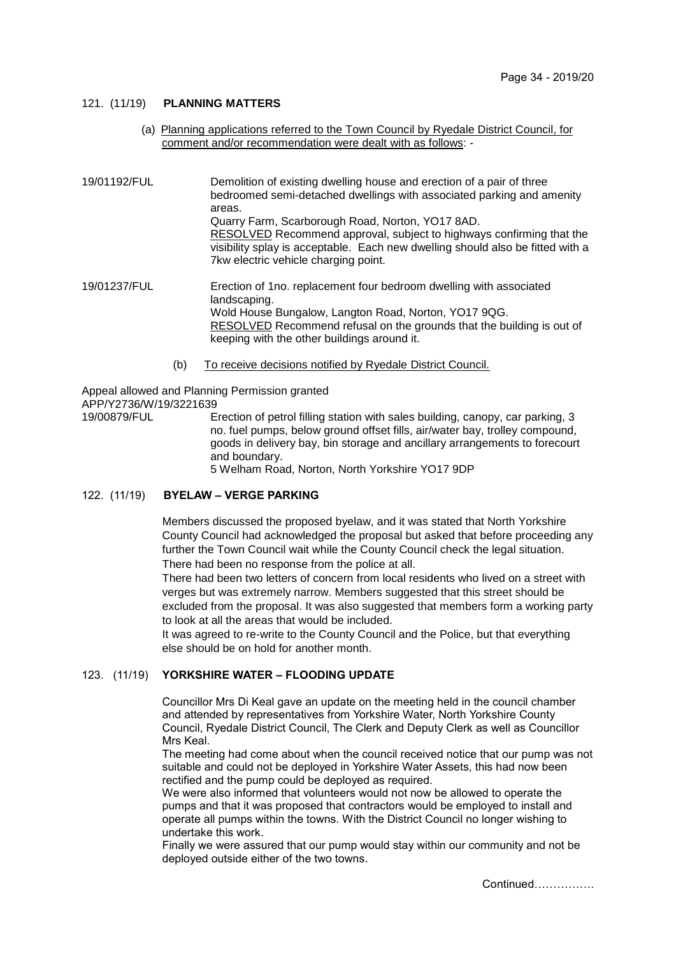## 121. (11/19) **PLANNING MATTERS**

(a) Planning applications referred to the Town Council by Ryedale District Council, for comment and/or recommendation were dealt with as follows: -

19/01192/FUL Demolition of existing dwelling house and erection of a pair of three bedroomed semi-detached dwellings with associated parking and amenity areas. Quarry Farm, Scarborough Road, Norton, YO17 8AD. RESOLVED Recommend approval, subject to highways confirming that the visibility splay is acceptable. Each new dwelling should also be fitted with a 7kw electric vehicle charging point.

19/01237/FUL Erection of 1no. replacement four bedroom dwelling with associated landscaping. Wold House Bungalow, Langton Road, Norton, YO17 9QG. RESOLVED Recommend refusal on the grounds that the building is out of keeping with the other buildings around it.

(b) To receive decisions notified by Ryedale District Council.

Appeal allowed and Planning Permission granted APP/Y2736/W/19/3221639

19/00879/FUL Erection of petrol filling station with sales building, canopy, car parking, 3 no. fuel pumps, below ground offset fills, air/water bay, trolley compound, goods in delivery bay, bin storage and ancillary arrangements to forecourt and boundary.

5 Welham Road, Norton, North Yorkshire YO17 9DP

# 122. (11/19) **BYELAW – VERGE PARKING**

Members discussed the proposed byelaw, and it was stated that North Yorkshire County Council had acknowledged the proposal but asked that before proceeding any further the Town Council wait while the County Council check the legal situation. There had been no response from the police at all.

There had been two letters of concern from local residents who lived on a street with verges but was extremely narrow. Members suggested that this street should be excluded from the proposal. It was also suggested that members form a working party to look at all the areas that would be included.

It was agreed to re-write to the County Council and the Police, but that everything else should be on hold for another month.

## 123. (11/19) **YORKSHIRE WATER – FLOODING UPDATE**

Councillor Mrs Di Keal gave an update on the meeting held in the council chamber and attended by representatives from Yorkshire Water, North Yorkshire County Council, Ryedale District Council, The Clerk and Deputy Clerk as well as Councillor Mrs Keal.

The meeting had come about when the council received notice that our pump was not suitable and could not be deployed in Yorkshire Water Assets, this had now been rectified and the pump could be deployed as required.

We were also informed that volunteers would not now be allowed to operate the pumps and that it was proposed that contractors would be employed to install and operate all pumps within the towns. With the District Council no longer wishing to undertake this work.

Finally we were assured that our pump would stay within our community and not be deployed outside either of the two towns.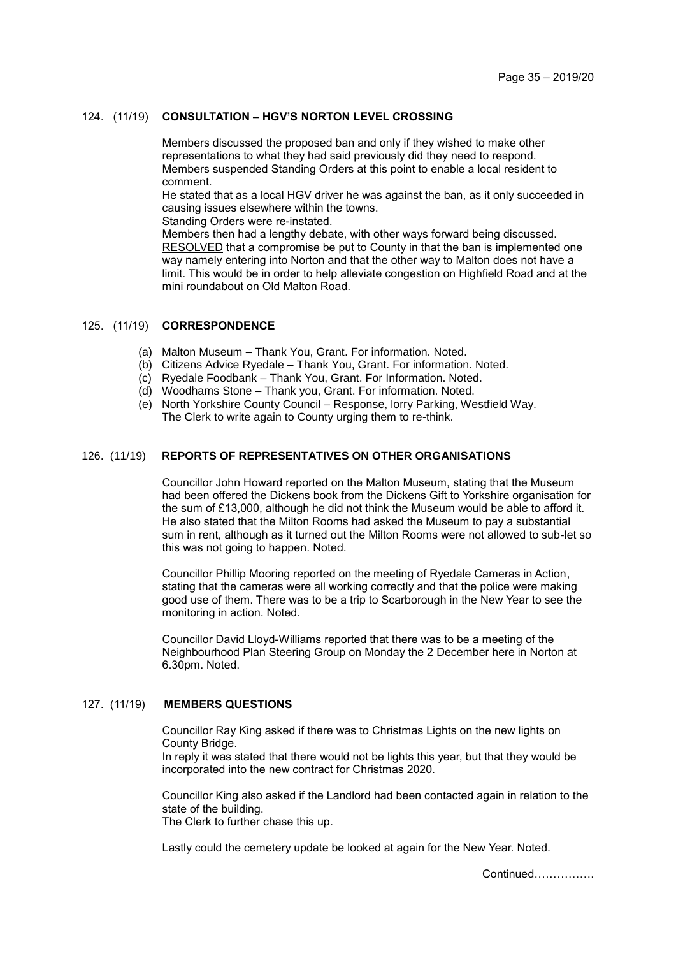## 124. (11/19) **CONSULTATION – HGV'S NORTON LEVEL CROSSING**

Members discussed the proposed ban and only if they wished to make other representations to what they had said previously did they need to respond. Members suspended Standing Orders at this point to enable a local resident to comment.

He stated that as a local HGV driver he was against the ban, as it only succeeded in causing issues elsewhere within the towns.

Standing Orders were re-instated.

Members then had a lengthy debate, with other ways forward being discussed. RESOLVED that a compromise be put to County in that the ban is implemented one way namely entering into Norton and that the other way to Malton does not have a limit. This would be in order to help alleviate congestion on Highfield Road and at the mini roundabout on Old Malton Road.

# 125. (11/19) **CORRESPONDENCE**

- (a) Malton Museum Thank You, Grant. For information. Noted.
- (b) Citizens Advice Ryedale Thank You, Grant. For information. Noted.
- (c) Ryedale Foodbank Thank You, Grant. For Information. Noted.
- (d) Woodhams Stone Thank you, Grant. For information. Noted.
- (e) North Yorkshire County Council Response, lorry Parking, Westfield Way. The Clerk to write again to County urging them to re-think.

### 126. (11/19) **REPORTS OF REPRESENTATIVES ON OTHER ORGANISATIONS**

Councillor John Howard reported on the Malton Museum, stating that the Museum had been offered the Dickens book from the Dickens Gift to Yorkshire organisation for the sum of £13,000, although he did not think the Museum would be able to afford it. He also stated that the Milton Rooms had asked the Museum to pay a substantial sum in rent, although as it turned out the Milton Rooms were not allowed to sub-let so this was not going to happen. Noted.

Councillor Phillip Mooring reported on the meeting of Ryedale Cameras in Action, stating that the cameras were all working correctly and that the police were making good use of them. There was to be a trip to Scarborough in the New Year to see the monitoring in action. Noted.

Councillor David Lloyd-Williams reported that there was to be a meeting of the Neighbourhood Plan Steering Group on Monday the 2 December here in Norton at 6.30pm. Noted.

### 127. (11/19) **MEMBERS QUESTIONS**

Councillor Ray King asked if there was to Christmas Lights on the new lights on County Bridge.

In reply it was stated that there would not be lights this year, but that they would be incorporated into the new contract for Christmas 2020.

Councillor King also asked if the Landlord had been contacted again in relation to the state of the building.

The Clerk to further chase this up.

Lastly could the cemetery update be looked at again for the New Year. Noted.